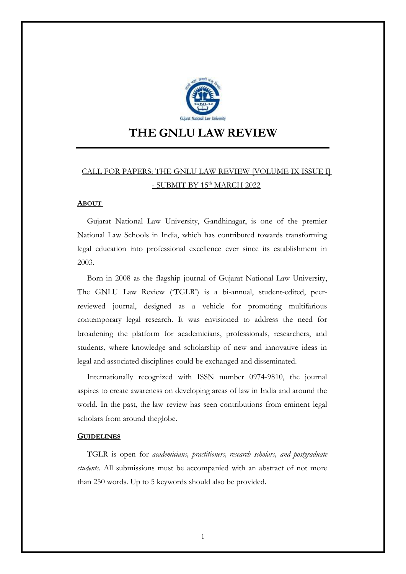

# **THE GNLU LAW REVIEW**

## CALL FOR PAPERS: THE GNLU LAW REVIEW [VOLUME IX ISSUE I] - SUBMIT BY 15<sup>th</sup> MARCH 2022

#### **ABOUT**

Gujarat National Law University, Gandhinagar, is one of the premier National Law Schools in India, which has contributed towards transforming legal education into professional excellence ever since its establishment in 2003.

Born in 2008 as the flagship journal of Gujarat National Law University, The GNLU Law Review ('TGLR') is a bi-annual, student-edited, peerreviewed journal, designed as a vehicle for promoting multifarious contemporary legal research. It was envisioned to address the need for broadening the platform for academicians, professionals, researchers, and students, where knowledge and scholarship of new and innovative ideas in legal and associated disciplines could be exchanged and disseminated.

Internationally recognized with ISSN number 0974-9810, the journal aspires to create awareness on developing areas of law in India and around the world. In the past, the law review has seen contributions from eminent legal scholars from around theglobe.

### **GUIDELINES**

TGLR is open for *academicians, practitioners, research scholars, and postgraduate students.* All submissions must be accompanied with an abstract of not more than 250 words. Up to 5 keywords should also be provided.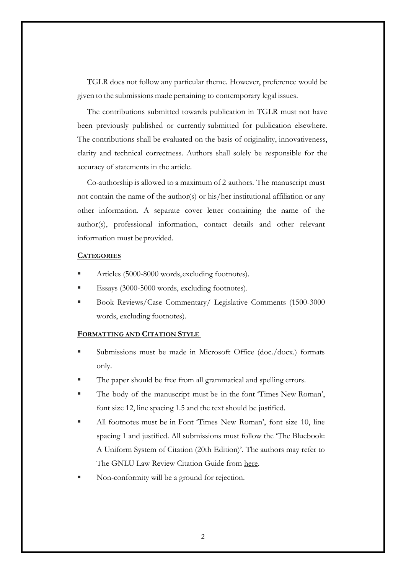TGLR does not follow any particular theme. However, preference would be given to the submissions made pertaining to contemporary legal issues.

The contributions submitted towards publication in TGLR must not have been previously published or currently submitted for publication elsewhere. The contributions shall be evaluated on the basis of originality, innovativeness, clarity and technical correctness. Authors shall solely be responsible for the accuracy of statements in the article.

Co-authorship is allowed to a maximum of 2 authors. The manuscript must not contain the name of the author(s) or his/her institutional affiliation or any other information. A separate cover letter containing the name of the author(s), professional information, contact details and other relevant information must beprovided.

## **CATEGORIES**

- Articles (5000-8000 words, excluding footnotes).
- Essays (3000-5000 words, excluding footnotes).
- Book Reviews/Case Commentary/ Legislative Comments (1500-3000 words, excluding footnotes).

## **FORMATTING AND CITATION STYLE**

- Submissions must be made in Microsoft Office (doc./docx.) formats only.
- The paper should be free from all grammatical and spelling errors.
- The body of the manuscript must be in the font 'Times New Roman', font size 12, line spacing 1.5 and the text should be justified.
- All footnotes must be in Font 'Times New Roman', font size 10, line spacing 1 and justified. All submissions must follow the 'The Bluebook: A Uniform System of Citation (20th Edition)'. The authors may refer to The GNLU Law Review Citation Guide from [here.](https://drive.google.com/file/d/1fHKHdSK2CqMSUqP0_rQOnr7AD6_JqdM_/view?usp=sharing)
- Non-conformity will be a ground for rejection.